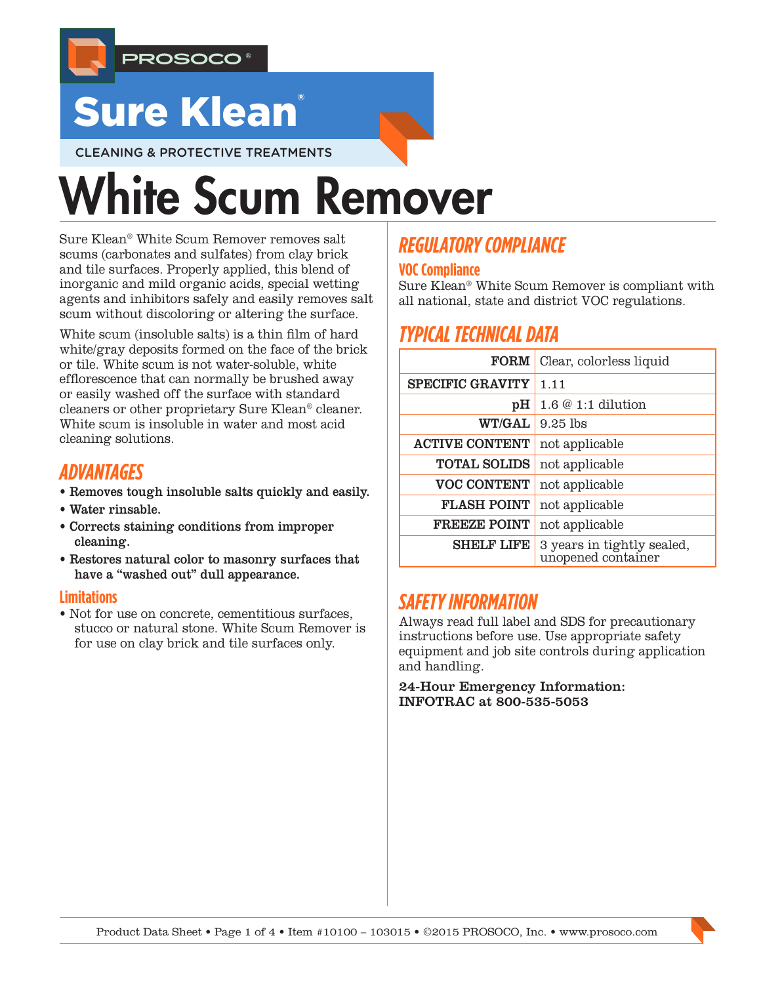

## **Sure Klean**

CLEANING & PROTECTIVE TREATMENTS

# White Scum Remover

Sure Klean® White Scum Remover removes salt scums (carbonates and sulfates) from clay brick and tile surfaces. Properly applied, this blend of inorganic and mild organic acids, special wetting agents and inhibitors safely and easily removes salt scum without discoloring or altering the surface.

White scum (insoluble salts) is a thin film of hard white/gray deposits formed on the face of the brick or tile. White scum is not water-soluble, white efflorescence that can normally be brushed away or easily washed off the surface with standard cleaners or other proprietary Sure Klean® cleaner. White scum is insoluble in water and most acid cleaning solutions.

## *ADVANTAGES*

- Removes tough insoluble salts quickly and easily.
- Water rinsable.
- Corrects staining conditions from improper cleaning.
- Restores natural color to masonry surfaces that have a "washed out" dull appearance.

#### **Limitations**

• Not for use on concrete, cementitious surfaces, stucco or natural stone. White Scum Remover is for use on clay brick and tile surfaces only.

## *REGULATORY COMPLIANCE*

#### **VOC Compliance**

Sure Klean® White Scum Remover is compliant with all national, state and district VOC regulations.

## *TYPICAL TECHNICAL DATA*

| <b>FORM</b>             | Clear, colorless liquid                          |  |  |
|-------------------------|--------------------------------------------------|--|--|
| <b>SPECIFIC GRAVITY</b> | 1.11                                             |  |  |
| pН                      | $1.6@1:1$ dilution                               |  |  |
| <b>WT/GAL</b>           | $9.25$ lbs                                       |  |  |
| <b>ACTIVE CONTENT</b>   | not applicable                                   |  |  |
| <b>TOTAL SOLIDS</b>     | not applicable                                   |  |  |
| <b>VOC CONTENT</b>      | not applicable                                   |  |  |
| <b>FLASH POINT</b>      | not applicable                                   |  |  |
| <b>FREEZE POINT</b>     | not applicable                                   |  |  |
| <b>SHELF LIFE</b>       | 3 years in tightly sealed,<br>unopened container |  |  |

## *SAFETY INFORMATION*

Always read full label and SDS for precautionary instructions before use. Use appropriate safety equipment and job site controls during application and handling.

24-Hour Emergency Information: INFOTRAC at 800-535-5053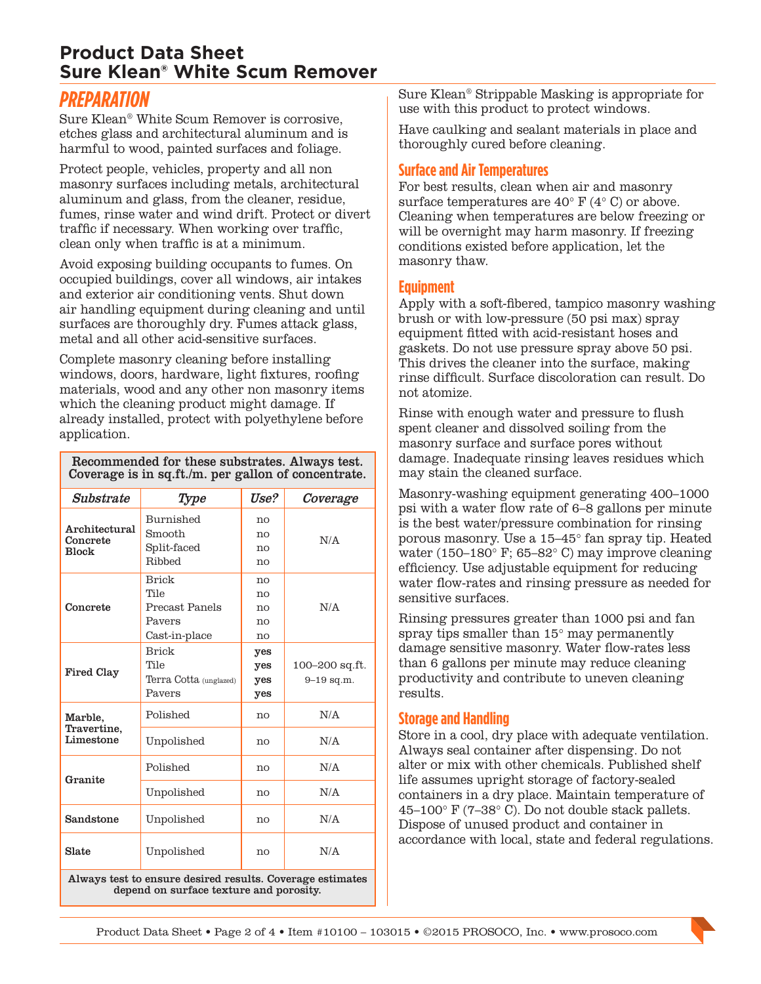#### **Product Data Sheet Sure Klean® White Scum Remover**

#### *PREPARATION*

Sure Klean® White Scum Remover is corrosive, etches glass and architectural aluminum and is harmful to wood, painted surfaces and foliage.

Protect people, vehicles, property and all non masonry surfaces including metals, architectural aluminum and glass, from the cleaner, residue, fumes, rinse water and wind drift. Protect or divert traffic if necessary. When working over traffic, clean only when traffic is at a minimum.

Avoid exposing building occupants to fumes. On occupied buildings, cover all windows, air intakes and exterior air conditioning vents. Shut down air handling equipment during cleaning and until surfaces are thoroughly dry. Fumes attack glass, metal and all other acid-sensitive surfaces.

Complete masonry cleaning before installing windows, doors, hardware, light fixtures, roofing materials, wood and any other non masonry items which the cleaning product might damage. If already installed, protect with polyethylene before application.

#### Recommended for these substrates. Always test. Coverage is in sq.ft./m. per gallon of concentrate.

| Substrate                                                 | Type                   | <i><b>Use?</b></i> | Coverage       |
|-----------------------------------------------------------|------------------------|--------------------|----------------|
| Architectural<br>Concrete<br><b>Block</b>                 | Burnished              | no                 |                |
|                                                           | Smooth                 | no                 | N/A            |
|                                                           | Split-faced            | no                 |                |
|                                                           | Ribbed                 | no                 |                |
| Concrete                                                  | <b>Brick</b>           | no                 |                |
|                                                           | Tile                   | no                 |                |
|                                                           | Precast Panels         | no                 | N/A            |
|                                                           | Pavers                 | no                 |                |
|                                                           | Cast-in-place          | no                 |                |
| Fired Clay                                                | <b>Brick</b>           | yes                |                |
|                                                           | Tile                   | yes                | 100–200 sq.ft. |
|                                                           | Terra Cotta (unglazed) | yes                | $9 - 19$ sq.m. |
|                                                           | Pavers                 | yes                |                |
| Marble,<br>Travertine,<br>Limestone                       | Polished               | no                 | N/A            |
|                                                           | Unpolished             | no                 | N/A            |
| Granite                                                   | Polished               | no                 | N/A            |
|                                                           | Unpolished             | no                 | N/A            |
| Sandstone                                                 | Unpolished             | no                 | N/A            |
| Slate                                                     | Unpolished             | no                 | N/A            |
| Always test to ensure desired results. Coverage estimates |                        |                    |                |

depend on surface texture and porosity.

Sure Klean® Strippable Masking is appropriate for use with this product to protect windows.

Have caulking and sealant materials in place and thoroughly cured before cleaning.

#### **Surface and Air Temperatures**

For best results, clean when air and masonry surface temperatures are  $40^{\circ}$  F ( $4^{\circ}$  C) or above. Cleaning when temperatures are below freezing or will be overnight may harm masonry. If freezing conditions existed before application, let the masonry thaw.

#### **Equipment**

Apply with a soft-fibered, tampico masonry washing brush or with low-pressure (50 psi max) spray equipment fitted with acid-resistant hoses and gaskets. Do not use pressure spray above 50 psi. This drives the cleaner into the surface, making rinse difficult. Surface discoloration can result. Do not atomize.

Rinse with enough water and pressure to flush spent cleaner and dissolved soiling from the masonry surface and surface pores without damage. Inadequate rinsing leaves residues which may stain the cleaned surface.

Masonry-washing equipment generating 400–1000 psi with a water flow rate of 6–8 gallons per minute is the best water/pressure combination for rinsing porous masonry. Use a 15–45° fan spray tip. Heated water (150–180° F; 65–82° C) may improve cleaning efficiency. Use adjustable equipment for reducing water flow-rates and rinsing pressure as needed for sensitive surfaces.

Rinsing pressures greater than 1000 psi and fan spray tips smaller than 15° may permanently damage sensitive masonry. Water flow-rates less than 6 gallons per minute may reduce cleaning productivity and contribute to uneven cleaning results.

#### **Storage and Handling**

Store in a cool, dry place with adequate ventilation. Always seal container after dispensing. Do not alter or mix with other chemicals. Published shelf life assumes upright storage of factory-sealed containers in a dry place. Maintain temperature of 45–100° F (7–38° C). Do not double stack pallets. Dispose of unused product and container in accordance with local, state and federal regulations.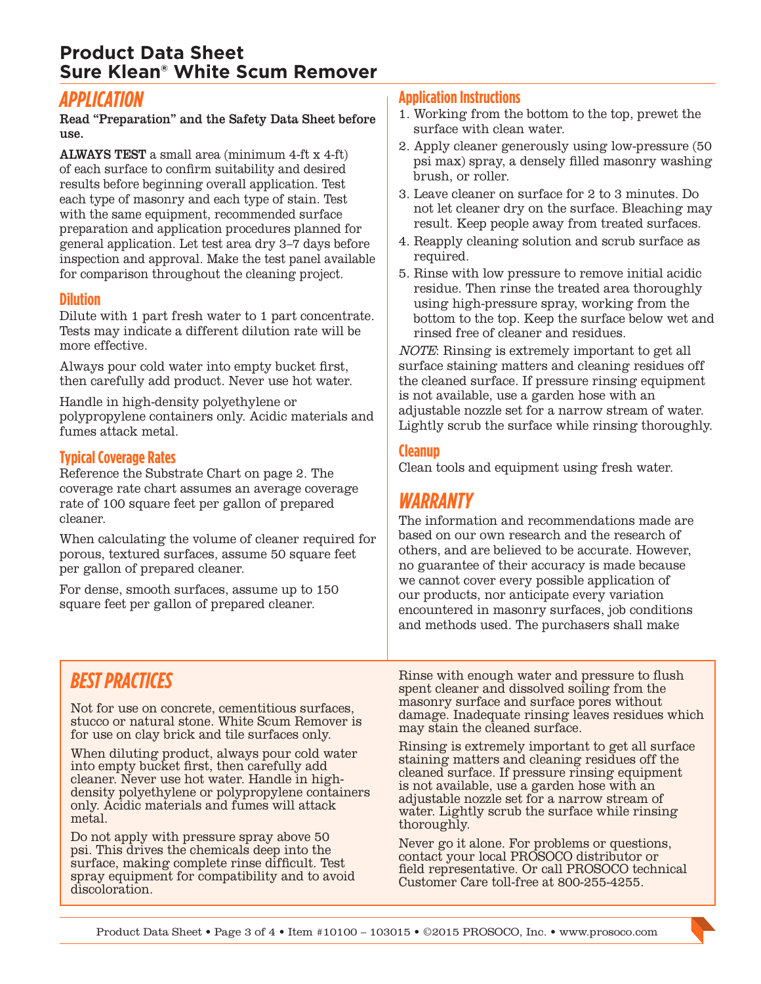#### **Product Data Sheet Sure Klean® White Scum Remover**

#### *APPLICATION*

Read "Preparation" and the Safety Data Sheet before use.

ALWAYS TEST a small area (minimum 4-ft x 4-ft) of each surface to confirm suitability and desired results before beginning overall application. Test each type of masonry and each type of stain. Test with the same equipment, recommended surface preparation and application procedures planned for general application. Let test area dry 3–7 days before inspection and approval. Make the test panel available for comparison throughout the cleaning project.

#### **Dilution**

Dilute with 1 part fresh water to 1 part concentrate. Tests may indicate a different dilution rate will be more effective.

Always pour cold water into empty bucket first, then carefully add product. Never use hot water.

Handle in high-density polyethylene or polypropylene containers only. Acidic materials and fumes attack metal.

#### **Typical Coverage Rates**

Reference the Substrate Chart on page 2. The coverage rate chart assumes an average coverage rate of 100 square feet per gallon of prepared cleaner.

When calculating the volume of cleaner required for porous, textured surfaces, assume 50 square feet per gallon of prepared cleaner.

For dense, smooth surfaces, assume up to 150 square feet per gallon of prepared cleaner.

#### **Application Instructions**

- 1. Working from the bottom to the top, prewet the surface with clean water.
- 2. Apply cleaner generously using low-pressure (50 psi max) spray, a densely filled masonry washing brush, or roller.
- 3. Leave cleaner on surface for 2 to 3 minutes. Do not let cleaner dry on the surface. Bleaching may result. Keep people away from treated surfaces.
- 4. Reapply cleaning solution and scrub surface as required.
- 5. Rinse with low pressure to remove initial acidic residue. Then rinse the treated area thoroughly using high-pressure spray, working from the bottom to the top. Keep the surface below wet and rinsed free of cleaner and residues.

NOTE: Rinsing is extremely important to get all surface staining matters and cleaning residues off the cleaned surface. If pressure rinsing equipment is not available, use a garden hose with an adjustable nozzle set for a narrow stream of water. Lightly scrub the surface while rinsing thoroughly.

#### **Cleanup**

Clean tools and equipment using fresh water.

## *WARRANTY*

The information and recommendations made are based on our own research and the research of others, and are believed to be accurate. However, no guarantee of their accuracy is made because we cannot cover every possible application of our products, nor anticipate every variation encountered in masonry surfaces, job conditions and methods used. The purchasers shall make

## *BEST PRACTICES*

Not for use on concrete, cementitious surfaces, stucco or natural stone. White Scum Remover is for use on clay brick and tile surfaces only.

When diluting product, always pour cold water into empty bucket first, then carefully add cleaner. Never use hot water. Handle in highdensity polyethylene or polypropylene containers only. Acidic materials and fumes will attack metal.

Do not apply with pressure spray above 50 psi. This drives the chemicals deep into the surface, making complete rinse difficult. Test spray equipment for compatibility and to avoid discoloration.

Rinse with enough water and pressure to flush spent cleaner and dissolved soiling from the masonry surface and surface pores without damage. Inadequate rinsing leaves residues which may stain the cleaned surface.

Rinsing is extremely important to get all surface staining matters and cleaning residues off the cleaned surface. If pressure rinsing equipment is not available, use a garden hose with an adjustable nozzle set for a narrow stream of water. Lightly scrub the surface while rinsing thoroughly.

Never go it alone. For problems or questions, contact your local PROSOCO distributor or field representative. Or call PROSOCO technical Customer Care toll-free at 800-255-4255.